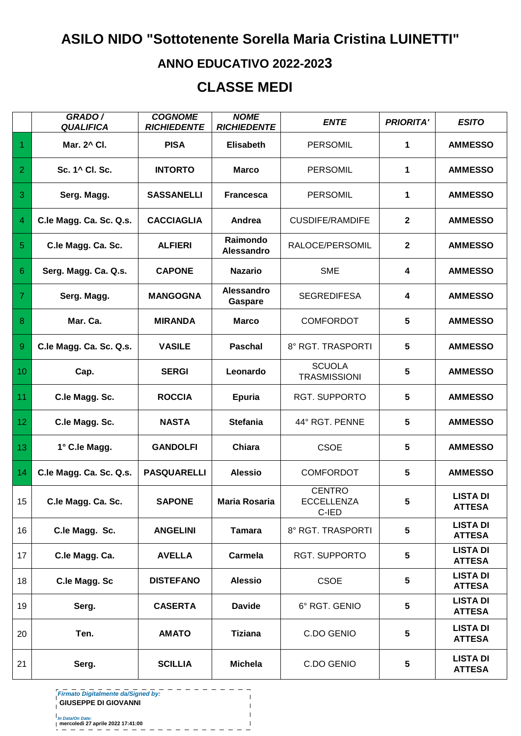## **ASILO NIDO "Sottotenente Sorella Maria Cristina LUINETTI"**

## **ANNO EDUCATIVO 2022-2023**

## **CLASSE MEDI**

|                | GRADO /<br><b>QUALIFICA</b> | <b>COGNOME</b><br><b>RICHIEDENTE</b> | <b>NOME</b><br><b>RICHIEDENTE</b> | <b>ENTE</b>                                 | <b>PRIORITA'</b> | <b>ESITO</b>                     |
|----------------|-----------------------------|--------------------------------------|-----------------------------------|---------------------------------------------|------------------|----------------------------------|
| 1              | Mar. 2^ Cl.                 | <b>PISA</b>                          | <b>Elisabeth</b>                  | <b>PERSOMIL</b>                             | 1                | <b>AMMESSO</b>                   |
| $\overline{2}$ | Sc. 1^ Cl. Sc.              | <b>INTORTO</b>                       | <b>Marco</b>                      | <b>PERSOMIL</b>                             | 1                | <b>AMMESSO</b>                   |
| 3              | Serg. Magg.                 | <b>SASSANELLI</b>                    | <b>Francesca</b>                  | <b>PERSOMIL</b>                             | 1                | <b>AMMESSO</b>                   |
| $\overline{4}$ | C.le Magg. Ca. Sc. Q.s.     | <b>CACCIAGLIA</b>                    | Andrea                            | <b>CUSDIFE/RAMDIFE</b>                      | $\mathbf{2}$     | <b>AMMESSO</b>                   |
| 5              | C.le Magg. Ca. Sc.          | <b>ALFIERI</b>                       | Raimondo<br>Alessandro            | RALOCE/PERSOMIL                             | $\mathbf{2}$     | <b>AMMESSO</b>                   |
| 6              | Serg. Magg. Ca. Q.s.        | <b>CAPONE</b>                        | <b>Nazario</b>                    | <b>SME</b>                                  | 4                | <b>AMMESSO</b>                   |
| 7              | Serg. Magg.                 | <b>MANGOGNA</b>                      | <b>Alessandro</b><br>Gaspare      | <b>SEGREDIFESA</b>                          | 4                | <b>AMMESSO</b>                   |
| 8              | Mar. Ca.                    | <b>MIRANDA</b>                       | <b>Marco</b>                      | <b>COMFORDOT</b>                            | 5                | <b>AMMESSO</b>                   |
| 9              | C.le Magg. Ca. Sc. Q.s.     | <b>VASILE</b>                        | <b>Paschal</b>                    | 8° RGT. TRASPORTI                           | 5                | <b>AMMESSO</b>                   |
| 10             | Cap.                        | <b>SERGI</b>                         | Leonardo                          | <b>SCUOLA</b><br><b>TRASMISSIONI</b>        | 5                | <b>AMMESSO</b>                   |
| 11             | C.le Magg. Sc.              | <b>ROCCIA</b>                        | <b>Epuria</b>                     | <b>RGT. SUPPORTO</b>                        | 5                | <b>AMMESSO</b>                   |
| 12             | C.le Magg. Sc.              | <b>NASTA</b>                         | <b>Stefania</b>                   | 44° RGT. PENNE                              | 5                | <b>AMMESSO</b>                   |
| 13             | 1° C.le Magg.               | <b>GANDOLFI</b>                      | Chiara                            | <b>CSOE</b>                                 | 5                | <b>AMMESSO</b>                   |
| 14             | C.le Magg. Ca. Sc. Q.s.     | <b>PASQUARELLI</b>                   | <b>Alessio</b>                    | <b>COMFORDOT</b>                            | 5                | <b>AMMESSO</b>                   |
| 15             | C.le Magg. Ca. Sc.          | <b>SAPONE</b>                        | Maria Rosaria                     | <b>CENTRO</b><br><b>ECCELLENZA</b><br>C-IED | 5                | <b>LISTA DI</b><br><b>ATTESA</b> |
| 16             | C.le Magg. Sc.              | <b>ANGELINI</b>                      | <b>Tamara</b>                     | 8° RGT. TRASPORTI                           | 5                | <b>LISTA DI</b><br><b>ATTESA</b> |
| 17             | C.le Magg. Ca.              | <b>AVELLA</b>                        | <b>Carmela</b>                    | <b>RGT. SUPPORTO</b>                        | 5                | <b>LISTA DI</b><br><b>ATTESA</b> |
| 18             | C.le Magg. Sc               | <b>DISTEFANO</b>                     | <b>Alessio</b>                    | <b>CSOE</b>                                 | 5                | <b>LISTA DI</b><br><b>ATTESA</b> |
| 19             | Serg.                       | <b>CASERTA</b>                       | <b>Davide</b>                     | 6° RGT. GENIO                               | 5                | <b>LISTA DI</b><br><b>ATTESA</b> |
| 20             | Ten.                        | <b>AMATO</b>                         | <b>Tiziana</b>                    | C.DO GENIO                                  | 5                | <b>LISTA DI</b><br><b>ATTESA</b> |
| 21             | Serg.                       | <b>SCILLIA</b>                       | <b>Michela</b>                    | C.DO GENIO                                  | 5                | <b>LISTA DI</b><br><b>ATTESA</b> |

 $\mathbf{I}$  $\overline{1}$ 

**Firmato Digitalmente da/Signed by:**

**GIUSEPPE DI GIOVANNI**